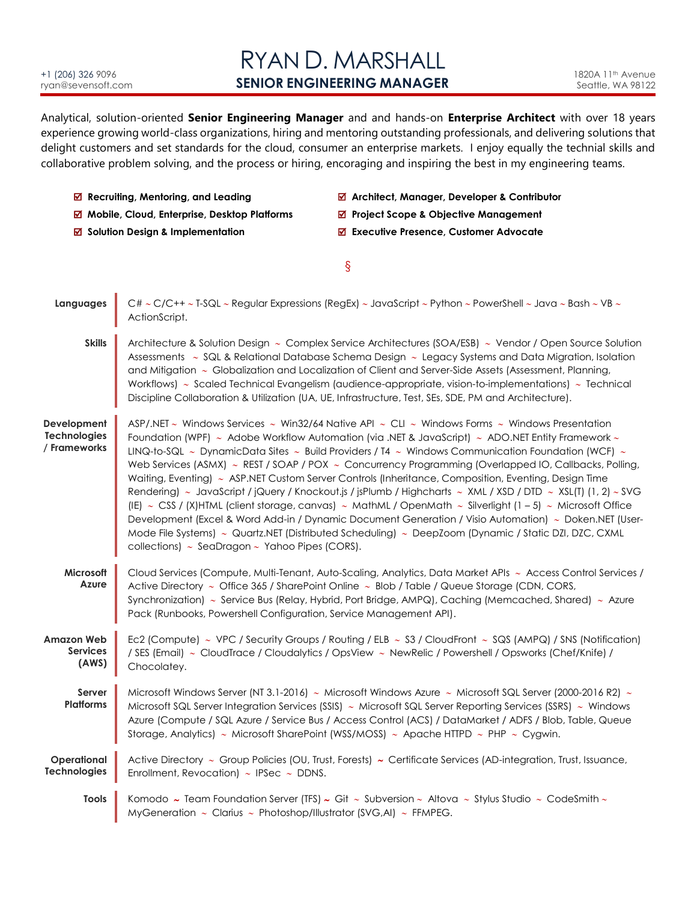#### +1 (206) 326 9096 [ryan@sevensoft.com](mailto:ryan@sevensoft.com)

# RYAN D. MARSHALL **SENIOR ENGINEERING MANAGER**

Analytical, solution-oriented **Senior Engineering Manager** and and hands-on **Enterprise Architect** with over 18 years experience growing world-class organizations, hiring and mentoring outstanding professionals, and delivering solutions that delight customers and set standards for the cloud, consumer an enterprise markets. I enjoy equally the technial skills and collaborative problem solving, and the process or hiring, encoraging and inspiring the best in my engineering teams.

  **Recruiting, Mentoring, and Leading Architect, Manager, Developer & Contributor**  $\overline{M}$  **Mobile, Cloud, Enterprise, Desktop Platforms <br>
<b>
■** Project Scope & Objective Management

**<b>Ø** Solution Design & Implementation **b** B Executive Presence, Customer Advocate § **Languages** C#  $\sim$  C/C++  $\sim$  T-SQL  $\sim$  Regular Expressions (RegEx)  $\sim$  JavaScript  $\sim$  Python  $\sim$  PowerShell  $\sim$  Java  $\sim$  Bash  $\sim$  VB  $\sim$ ActionScript. **Skills** Architecture & Solution Design  $\sim$  Complex Service Architectures (SOA/ESB)  $\sim$  Vendor / Open Source Solution Assessments  $\sim$  SQL & Relational Database Schema Design  $\sim$  Legacy Systems and Data Migration, Isolation and Mitigation ~ Globalization and Localization of Client and Server-Side Assets (Assessment, Planning, Workflows)  $\sim$  Scaled Technical Evangelism (audience-appropriate, vision-to-implementations)  $\sim$  Technical Discipline Collaboration & Utilization (UA, UE, Infrastructure, Test, SEs, SDE, PM and Architecture). **Development Technologies / Frameworks** ASP/.NET  $\sim$  Windows Services  $\sim$  Win32/64 Native API  $\sim$  CLI  $\sim$  Windows Forms  $\sim$  Windows Presentation Foundation (WPF)  $\sim$  Adobe Workflow Automation (via .NET & JavaScript)  $\sim$  ADO.NET Entity Framework  $\sim$ LINQ-to-SQL  $\sim$  DynamicData Sites  $\sim$  Build Providers / T4  $\sim$  Windows Communication Foundation (WCF)  $\sim$ Web Services (ASMX)  $\sim$  REST / SOAP / POX  $\sim$  Concurrency Programming (Overlapped IO, Callbacks, Polling, Waitina, Eventing) ~ ASP.NET Custom Server Controls (Inheritance, Composition, Eventing, Design Time Rendering)  $\sim$  JavaScript / jQuery / Knockout.js / jsPlumb / Highcharts  $\sim$  XML / XSD / DTD  $\sim$  XSL(T) (1, 2)  $\sim$  SVG (IE)  $\sim$  CSS / (X)HTML (client storage, canvas)  $\sim$  MathML / OpenMath  $\sim$  Silverlight (1 – 5)  $\sim$  Microsoft Office Development (Excel & Word Add-in / Dynamic Document Generation / Visio Automation)  $\sim$  Doken.NET (User-Mode File Systems)  $\sim$  Quartz.NET (Distributed Scheduling)  $\sim$  DeepZoom (Dynamic / Static DZI, DZC, CXML collections)  $\sim$  SeaDragon  $\sim$  Yahoo Pipes (CORS). **Microsoft Azure** Cloud Services (Compute, Multi-Tenant, Auto-Scaling, Analytics, Data Market APIs ~ Access Control Services / Active Directory  $\sim$  Office 365 / SharePoint Online  $\sim$  Blob / Table / Queue Storage (CDN, CORS, Synchronization) ~ Service Bus (Relay, Hybrid, Port Bridge, AMPQ), Caching (Memcached, Shared) ~ Azure Pack (Runbooks, Powershell Configuration, Service Management API). **Amazon Web Services (AWS)** Ec2 (Compute)  $\sim$  VPC / Security Groups / Routing / ELB  $\sim$  S3 / CloudFront  $\sim$  SQS (AMPQ) / SNS (Notification) / SES (Email) CloudTrace / Cloudalytics / OpsView NewRelic / Powershell / Opsworks (Chef/Knife) / Chocolatey. **Server Platforms** Microsoft Windows Server (NT 3.1-2016) ~ Microsoft Windows Azure ~ Microsoft SQL Server (2000-2016 R2) ~ Microsoft SQL Server Integration Services (SSIS)  $\sim$  Microsoft SQL Server Reporting Services (SSRS)  $\sim$  Windows Azure (Compute / SQL Azure / Service Bus / Access Control (ACS) / DataMarket / ADFS / Blob, Table, Queue Storage, Analytics)  $\sim$  Microsoft SharePoint (WSS/MOSS)  $\sim$  Apache HTTPD  $\sim$  PHP  $\sim$  Cygwin. **Operational Technologies** Active Directory ~ Group Policies (OU, Trust, Forests) ~ Certificate Services (AD-integration, Trust, Issuance, Enrollment, Revocation)  $\sim$  IPSec  $\sim$  DDNS. **Tools** Komodo  $\sim$  Team Foundation Server (TFS)  $\sim$  Git  $\sim$  Subversion  $\sim$  Altova  $\sim$  Stylus Studio  $\sim$  CodeSmith $\sim$ MyGeneration  $\sim$  Clarius  $\sim$  Photoshop/Illustrator (SVG,AI)  $\sim$  FFMPEG.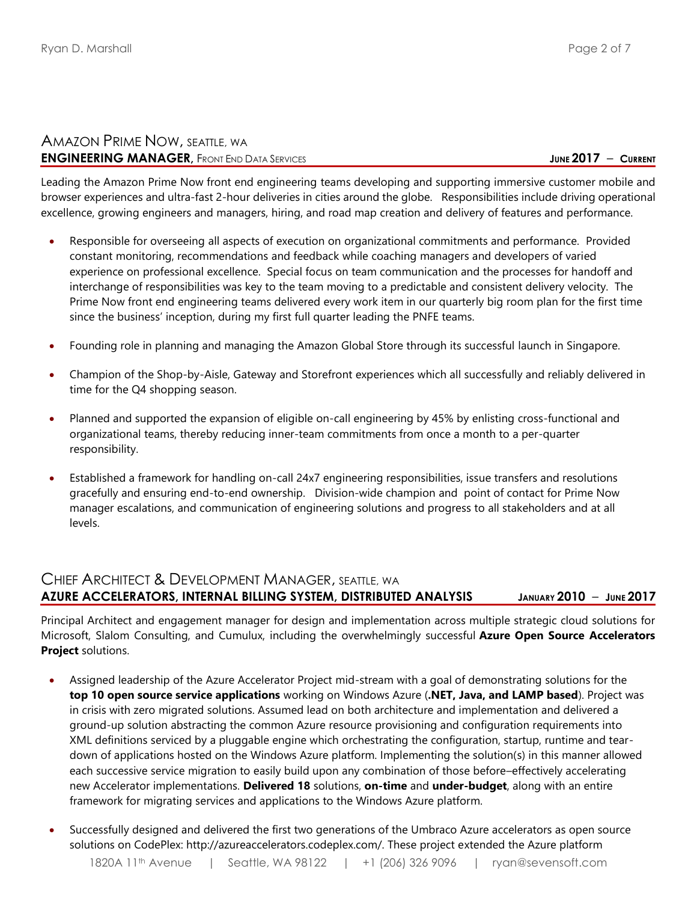## AMAZON PRIME NOW, SEATTLE, WA **ENGINEERING MANAGER**, FRONT END DATA SERVICES **And a service of the service** of the service of the service of the service of the service of the service of the service of the service of the service of the service of the se

Leading the Amazon Prime Now front end engineering teams developing and supporting immersive customer mobile and browser experiences and ultra-fast 2-hour deliveries in cities around the globe. Responsibilities include driving operational excellence, growing engineers and managers, hiring, and road map creation and delivery of features and performance.

- Responsible for overseeing all aspects of execution on organizational commitments and performance. Provided constant monitoring, recommendations and feedback while coaching managers and developers of varied experience on professional excellence. Special focus on team communication and the processes for handoff and interchange of responsibilities was key to the team moving to a predictable and consistent delivery velocity. The Prime Now front end engineering teams delivered every work item in our quarterly big room plan for the first time since the business' inception, during my first full quarter leading the PNFE teams.
- Founding role in planning and managing the Amazon Global Store through its successful launch in Singapore.
- Champion of the Shop-by-Aisle, Gateway and Storefront experiences which all successfully and reliably delivered in time for the Q4 shopping season.
- Planned and supported the expansion of eligible on-call engineering by 45% by enlisting cross-functional and organizational teams, thereby reducing inner-team commitments from once a month to a per-quarter responsibility.
- Established a framework for handling on-call 24x7 engineering responsibilities, issue transfers and resolutions gracefully and ensuring end-to-end ownership. Division-wide champion and point of contact for Prime Now manager escalations, and communication of engineering solutions and progress to all stakeholders and at all levels.

## CHIEF ARCHITECT & DEVELOPMENT MANAGER, SEATTLE, WA **AZURE ACCELERATORS, INTERNAL BILLING SYSTEM, DISTRIBUTED ANALYSIS JANUARY 2010** – **JUNE 2017**

Principal Architect and engagement manager for design and implementation across multiple strategic cloud solutions for Microsoft, Slalom Consulting, and Cumulux, including the overwhelmingly successful **Azure Open Source Accelerators Project** solutions.

- Assigned leadership of the Azure Accelerator Project mid-stream with a goal of demonstrating solutions for the **top 10 open source service applications** working on Windows Azure (**.NET, Java, and LAMP based**). Project was in crisis with zero migrated solutions. Assumed lead on both architecture and implementation and delivered a ground-up solution abstracting the common Azure resource provisioning and configuration requirements into XML definitions serviced by a pluggable engine which orchestrating the configuration, startup, runtime and teardown of applications hosted on the Windows Azure platform. Implementing the solution(s) in this manner allowed each successive service migration to easily build upon any combination of those before–effectively accelerating new Accelerator implementations. **Delivered 18** solutions, **on-time** and **under-budget**, along with an entire framework for migrating services and applications to the Windows Azure platform.
- Successfully designed and delivered the first two generations of the Umbraco Azure accelerators as open source solutions on CodePlex: http://azureaccelerators.codeplex.com/. These project extended the Azure platform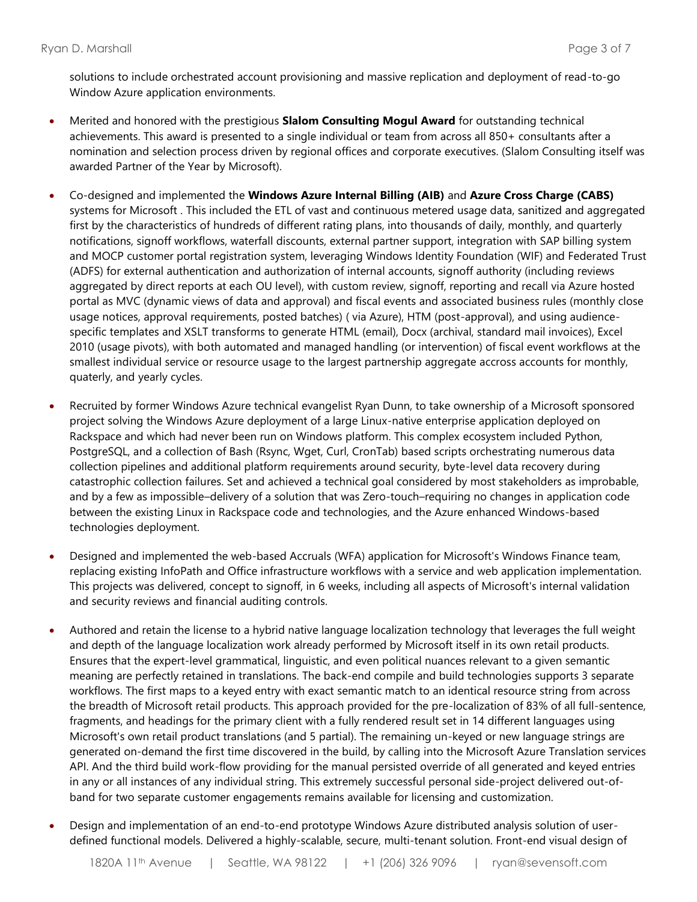solutions to include orchestrated account provisioning and massive replication and deployment of read-to-go Window Azure application environments.

- Merited and honored with the prestigious **Slalom Consulting Mogul Award** for outstanding technical achievements. This award is presented to a single individual or team from across all 850+ consultants after a nomination and selection process driven by regional offices and corporate executives. (Slalom Consulting itself was awarded Partner of the Year by Microsoft).
- Co-designed and implemented the **Windows Azure Internal Billing (AIB)** and **Azure Cross Charge (CABS)** systems for Microsoft . This included the ETL of vast and continuous metered usage data, sanitized and aggregated first by the characteristics of hundreds of different rating plans, into thousands of daily, monthly, and quarterly notifications, signoff workflows, waterfall discounts, external partner support, integration with SAP billing system and MOCP customer portal registration system, leveraging Windows Identity Foundation (WIF) and Federated Trust (ADFS) for external authentication and authorization of internal accounts, signoff authority (including reviews aggregated by direct reports at each OU level), with custom review, signoff, reporting and recall via Azure hosted portal as MVC (dynamic views of data and approval) and fiscal events and associated business rules (monthly close usage notices, approval requirements, posted batches) ( via Azure), HTM (post-approval), and using audiencespecific templates and XSLT transforms to generate HTML (email), Docx (archival, standard mail invoices), Excel 2010 (usage pivots), with both automated and managed handling (or intervention) of fiscal event workflows at the smallest individual service or resource usage to the largest partnership aggregate accross accounts for monthly, quaterly, and yearly cycles.
- Recruited by former Windows Azure technical evangelist Ryan Dunn, to take ownership of a Microsoft sponsored project solving the Windows Azure deployment of a large Linux-native enterprise application deployed on Rackspace and which had never been run on Windows platform. This complex ecosystem included Python, PostgreSQL, and a collection of Bash (Rsync, Wget, Curl, CronTab) based scripts orchestrating numerous data collection pipelines and additional platform requirements around security, byte-level data recovery during catastrophic collection failures. Set and achieved a technical goal considered by most stakeholders as improbable, and by a few as impossible–delivery of a solution that was Zero-touch–requiring no changes in application code between the existing Linux in Rackspace code and technologies, and the Azure enhanced Windows-based technologies deployment.
- Designed and implemented the web-based Accruals (WFA) application for Microsoft's Windows Finance team, replacing existing InfoPath and Office infrastructure workflows with a service and web application implementation. This projects was delivered, concept to signoff, in 6 weeks, including all aspects of Microsoft's internal validation and security reviews and financial auditing controls.
- Authored and retain the license to a hybrid native language localization technology that leverages the full weight and depth of the language localization work already performed by Microsoft itself in its own retail products. Ensures that the expert-level grammatical, linguistic, and even political nuances relevant to a given semantic meaning are perfectly retained in translations. The back-end compile and build technologies supports 3 separate workflows. The first maps to a keyed entry with exact semantic match to an identical resource string from across the breadth of Microsoft retail products. This approach provided for the pre-localization of 83% of all full-sentence, fragments, and headings for the primary client with a fully rendered result set in 14 different languages using Microsoft's own retail product translations (and 5 partial). The remaining un-keyed or new language strings are generated on-demand the first time discovered in the build, by calling into the Microsoft Azure Translation services API. And the third build work-flow providing for the manual persisted override of all generated and keyed entries in any or all instances of any individual string. This extremely successful personal side-project delivered out-ofband for two separate customer engagements remains available for licensing and customization.
- Design and implementation of an end-to-end prototype Windows Azure distributed analysis solution of userdefined functional models. Delivered a highly-scalable, secure, multi-tenant solution. Front-end visual design of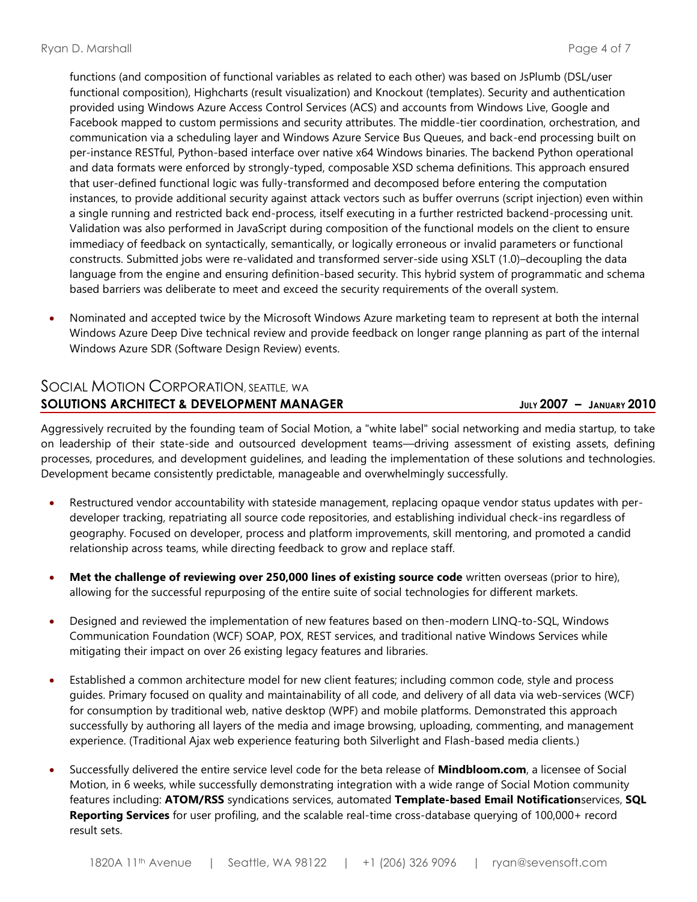functions (and composition of functional variables as related to each other) was based on JsPlumb (DSL/user functional composition), Highcharts (result visualization) and Knockout (templates). Security and authentication provided using Windows Azure Access Control Services (ACS) and accounts from Windows Live, Google and Facebook mapped to custom permissions and security attributes. The middle-tier coordination, orchestration, and communication via a scheduling layer and Windows Azure Service Bus Queues, and back-end processing built on per-instance RESTful, Python-based interface over native x64 Windows binaries. The backend Python operational and data formats were enforced by strongly-typed, composable XSD schema definitions. This approach ensured that user-defined functional logic was fully-transformed and decomposed before entering the computation instances, to provide additional security against attack vectors such as buffer overruns (script injection) even within a single running and restricted back end-process, itself executing in a further restricted backend-processing unit. Validation was also performed in JavaScript during composition of the functional models on the client to ensure immediacy of feedback on syntactically, semantically, or logically erroneous or invalid parameters or functional constructs. Submitted jobs were re-validated and transformed server-side using XSLT (1.0)–decoupling the data language from the engine and ensuring definition-based security. This hybrid system of programmatic and schema based barriers was deliberate to meet and exceed the security requirements of the overall system.

• Nominated and accepted twice by the Microsoft Windows Azure marketing team to represent at both the internal Windows Azure Deep Dive technical review and provide feedback on longer range planning as part of the internal Windows Azure SDR (Software Design Review) events.

## SOCIAL MOTION CORPORATION**,** SEATTLE, WA **SOLUTIONS ARCHITECT & DEVELOPMENT MANAGER JULY 2007 – JANUARY 2010**

Aggressively recruited by the founding team of Social Motion, a "white label" social networking and media startup, to take on leadership of their state-side and outsourced development teams—driving assessment of existing assets, defining processes, procedures, and development guidelines, and leading the implementation of these solutions and technologies. Development became consistently predictable, manageable and overwhelmingly successfully.

- Restructured vendor accountability with stateside management, replacing opaque vendor status updates with perdeveloper tracking, repatriating all source code repositories, and establishing individual check-ins regardless of geography. Focused on developer, process and platform improvements, skill mentoring, and promoted a candid relationship across teams, while directing feedback to grow and replace staff.
- **Met the challenge of reviewing over 250,000 lines of existing source code** written overseas (prior to hire), allowing for the successful repurposing of the entire suite of social technologies for different markets.
- Designed and reviewed the implementation of new features based on then-modern LINQ-to-SQL, Windows Communication Foundation (WCF) SOAP, POX, REST services, and traditional native Windows Services while mitigating their impact on over 26 existing legacy features and libraries.
- Established a common architecture model for new client features; including common code, style and process guides. Primary focused on quality and maintainability of all code, and delivery of all data via web-services (WCF) for consumption by traditional web, native desktop (WPF) and mobile platforms. Demonstrated this approach successfully by authoring all layers of the media and image browsing, uploading, commenting, and management experience. (Traditional Ajax web experience featuring both Silverlight and Flash-based media clients.)
- Successfully delivered the entire service level code for the beta release of **Mindbloom.com**, a licensee of Social Motion, in 6 weeks, while successfully demonstrating integration with a wide range of Social Motion community features including: **ATOM/RSS** syndications services, automated **Template-based Email Notification**services, **SQL Reporting Services** for user profiling, and the scalable real-time cross-database querying of 100,000+ record result sets.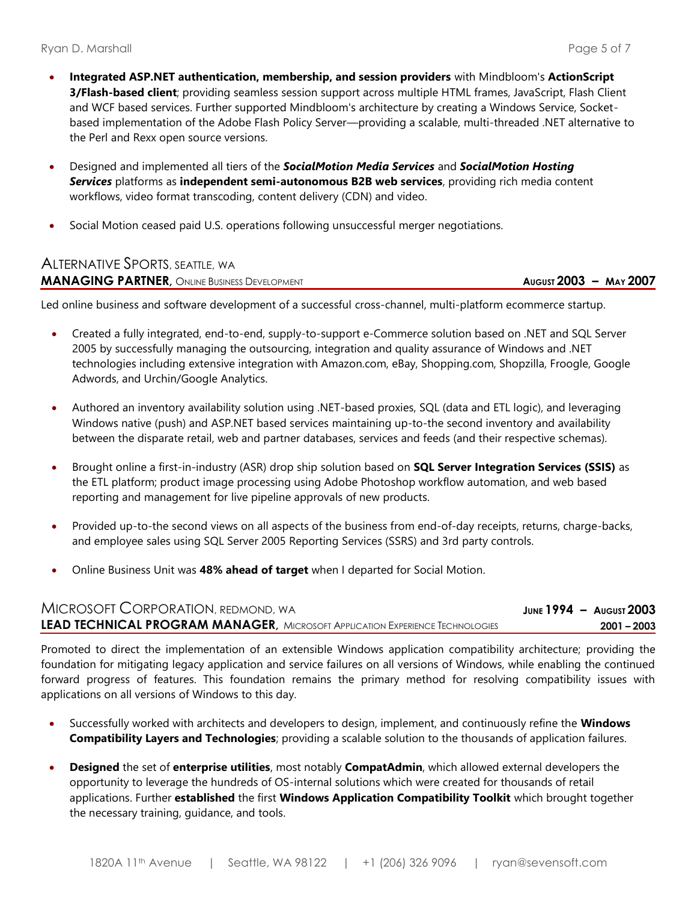- **Integrated ASP.NET authentication, membership, and session providers** with Mindbloom's **ActionScript 3/Flash-based client**; providing seamless session support across multiple HTML frames, JavaScript, Flash Client and WCF based services. Further supported Mindbloom's architecture by creating a Windows Service, Socketbased implementation of the Adobe Flash Policy Server—providing a scalable, multi-threaded .NET alternative to the Perl and Rexx open source versions.
- Designed and implemented all tiers of the *SocialMotion Media Services* and *SocialMotion Hosting Services* platforms as **independent semi-autonomous B2B web services**, providing rich media content workflows, video format transcoding, content delivery (CDN) and video.
- Social Motion ceased paid U.S. operations following unsuccessful merger negotiations.

## ALTERNATIVE SPORTS, SEATTLE, WA **MANAGING PARTNER,** ONLINE BUSINESS DEVELOPMENT **AUGUST 2003 – MAY 2007**

Led online business and software development of a successful cross-channel, multi-platform ecommerce startup.

- Created a fully integrated, end-to-end, supply-to-support e-Commerce solution based on .NET and SQL Server 2005 by successfully managing the outsourcing, integration and quality assurance of Windows and .NET technologies including extensive integration with Amazon.com, eBay, Shopping.com, Shopzilla, Froogle, Google Adwords, and Urchin/Google Analytics.
- Authored an inventory availability solution using .NET-based proxies, SQL (data and ETL logic), and leveraging Windows native (push) and ASP.NET based services maintaining up-to-the second inventory and availability between the disparate retail, web and partner databases, services and feeds (and their respective schemas).
- Brought online a first-in-industry (ASR) drop ship solution based on **SQL Server Integration Services (SSIS)** as the ETL platform; product image processing using Adobe Photoshop workflow automation, and web based reporting and management for live pipeline approvals of new products.
- Provided up-to-the second views on all aspects of the business from end-of-day receipts, returns, charge-backs, and employee sales using SQL Server 2005 Reporting Services (SSRS) and 3rd party controls.
- Online Business Unit was **48% ahead of target** when I departed for Social Motion.

| MICROSOFT CORPORATION, REDMOND, WA                                                   | JUNE $1994 -$ August $2003$ |
|--------------------------------------------------------------------------------------|-----------------------------|
| <b>LEAD TECHNICAL PROGRAM MANAGER, MICROSOFT APPLICATION EXPERIENCE TECHNOLOGIES</b> | $2001 - 2003$               |

Promoted to direct the implementation of an extensible Windows application compatibility architecture; providing the foundation for mitigating legacy application and service failures on all versions of Windows, while enabling the continued forward progress of features. This foundation remains the primary method for resolving compatibility issues with applications on all versions of Windows to this day.

- Successfully worked with architects and developers to design, implement, and continuously refine the **Windows Compatibility Layers and Technologies**; providing a scalable solution to the thousands of application failures.
- **Designed** the set of **enterprise utilities**, most notably **CompatAdmin**, which allowed external developers the opportunity to leverage the hundreds of OS-internal solutions which were created for thousands of retail applications. Further **established** the first **Windows Application Compatibility Toolkit** which brought together the necessary training, guidance, and tools.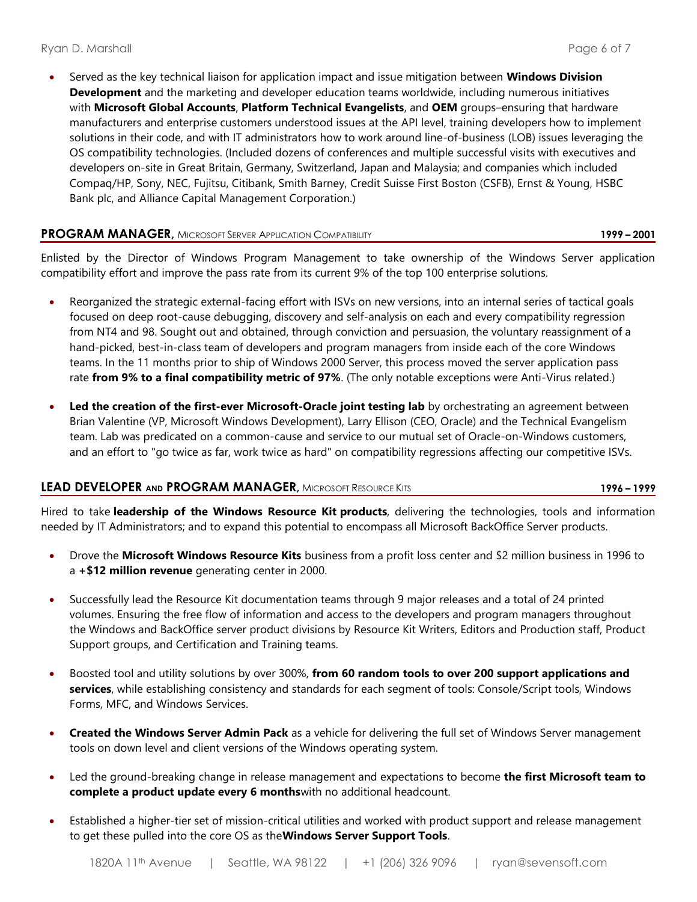• Served as the key technical liaison for application impact and issue mitigation between **Windows Division Development** and the marketing and developer education teams worldwide, including numerous initiatives with **Microsoft Global Accounts**, **Platform Technical Evangelists**, and **OEM** groups–ensuring that hardware manufacturers and enterprise customers understood issues at the API level, training developers how to implement solutions in their code, and with IT administrators how to work around line-of-business (LOB) issues leveraging the OS compatibility technologies. (Included dozens of conferences and multiple successful visits with executives and developers on-site in Great Britain, Germany, Switzerland, Japan and Malaysia; and companies which included Compaq/HP, Sony, NEC, Fujitsu, Citibank, Smith Barney, Credit Suisse First Boston (CSFB), Ernst & Young, HSBC Bank plc, and Alliance Capital Management Corporation.)

### **PROGRAM MANAGER,** MICROSOFT SERVER APPLICATION COMPATIBILITY **1999 – 2001**

Enlisted by the Director of Windows Program Management to take ownership of the Windows Server application compatibility effort and improve the pass rate from its current 9% of the top 100 enterprise solutions.

- Reorganized the strategic external-facing effort with ISVs on new versions, into an internal series of tactical goals focused on deep root-cause debugging, discovery and self-analysis on each and every compatibility regression from NT4 and 98. Sought out and obtained, through conviction and persuasion, the voluntary reassignment of a hand-picked, best-in-class team of developers and program managers from inside each of the core Windows teams. In the 11 months prior to ship of Windows 2000 Server, this process moved the server application pass rate **from 9% to a final compatibility metric of 97%**. (The only notable exceptions were Anti-Virus related.)
- **Led the creation of the first-ever Microsoft-Oracle joint testing lab** by orchestrating an agreement between Brian Valentine (VP, Microsoft Windows Development), Larry Ellison (CEO, Oracle) and the Technical Evangelism team. Lab was predicated on a common-cause and service to our mutual set of Oracle-on-Windows customers, and an effort to "go twice as far, work twice as hard" on compatibility regressions affecting our competitive ISVs.

#### **LEAD DEVELOPER AND PROGRAM MANAGER,** MICROSOFT RESOURCE KITS **1996 – 1999**

Hired to take **leadership of the Windows Resource Kit products**, delivering the technologies, tools and information needed by IT Administrators; and to expand this potential to encompass all Microsoft BackOffice Server products.

- Drove the **Microsoft Windows Resource Kits** business from a profit loss center and \$2 million business in 1996 to a **+\$12 million revenue** generating center in 2000.
- Successfully lead the Resource Kit documentation teams through 9 major releases and a total of 24 printed volumes. Ensuring the free flow of information and access to the developers and program managers throughout the Windows and BackOffice server product divisions by Resource Kit Writers, Editors and Production staff, Product Support groups, and Certification and Training teams.
- Boosted tool and utility solutions by over 300%, **from 60 random tools to over 200 support applications and services**, while establishing consistency and standards for each segment of tools: Console/Script tools, Windows Forms, MFC, and Windows Services.
- **Created the Windows Server Admin Pack** as a vehicle for delivering the full set of Windows Server management tools on down level and client versions of the Windows operating system.
- Led the ground-breaking change in release management and expectations to become **the first Microsoft team to complete a product update every 6 months**with no additional headcount.
- Established a higher-tier set of mission-critical utilities and worked with product support and release management to get these pulled into the core OS as the**Windows Server Support Tools**.